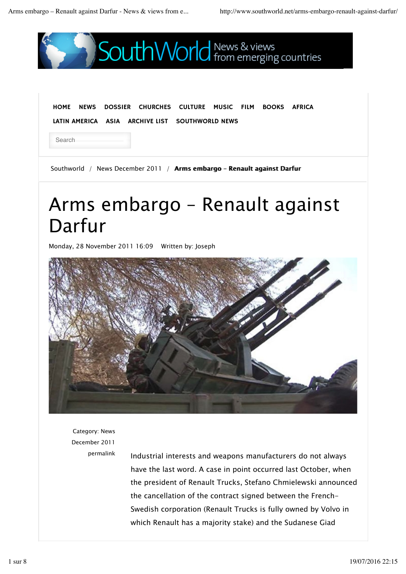

Category: News December 2011

permalink Industrial interests and weapons manufacturers do not always have the last word. A case in point occurred last October, when the president of Renault Trucks, Stefano Chmielewski announced the cancellation of the contract signed between the French-Swedish corporation (Renault Trucks is fully owned by Volvo in which Renault has a majority stake) and the Sudanese Giad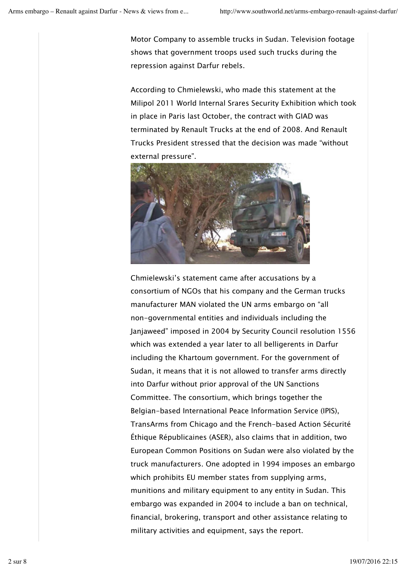Motor Company to assemble trucks in Sudan. Television footage shows that government troops used such trucks during the repression against Darfur rebels.

According to Chmielewski, who made this statement at the Milipol 2011 World Internal Srares Security Exhibition which took in place in Paris last October, the contract with GIAD was terminated by Renault Trucks at the end of 2008. And Renault Trucks President stressed that the decision was made "without external pressure".



Chmielewski's statement came after accusations by a consortium of NGOs that his company and the German trucks manufacturer MAN violated the UN arms embargo on "all non-governmental entities and individuals including the Janjaweed" imposed in 2004 by Security Council resolution 1556 which was extended a year later to all belligerents in Darfur including the Khartoum government. For the government of Sudan, it means that it is not allowed to transfer arms directly into Darfur without prior approval of the UN Sanctions Committee. The consortium, which brings together the Belgian-based International Peace Information Service (IPIS), TransArms from Chicago and the French-based Action Sécurité Éthique Républicaines (ASER), also claims that in addition, two European Common Positions on Sudan were also violated by the truck manufacturers. One adopted in 1994 imposes an embargo which prohibits EU member states from supplying arms, munitions and military equipment to any entity in Sudan. This embargo was expanded in 2004 to include a ban on technical, financial, brokering, transport and other assistance relating to military activities and equipment, says the report.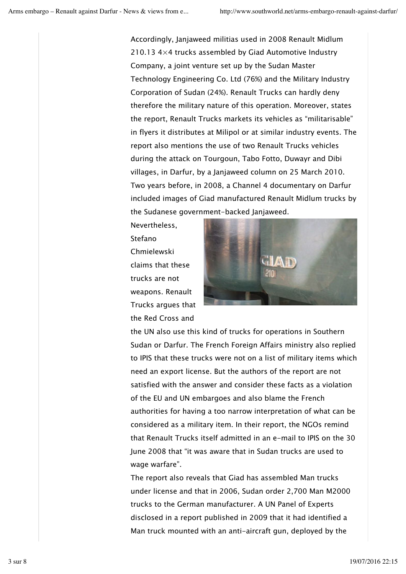Accordingly, Janjaweed militias used in 2008 Renault Midlum 210.13 4×4 trucks assembled by Giad Automotive Industry Company, a joint venture set up by the Sudan Master Technology Engineering Co. Ltd (76%) and the Military Industry Corporation of Sudan (24%). Renault Trucks can hardly deny therefore the military nature of this operation. Moreover, states the report, Renault Trucks markets its vehicles as "militarisable" in flyers it distributes at Milipol or at similar industry events. The report also mentions the use of two Renault Trucks vehicles during the attack on Tourgoun, Tabo Fotto, Duwayr and Dibi villages, in Darfur, by a Janjaweed column on 25 March 2010. Two years before, in 2008, a Channel 4 documentary on Darfur included images of Giad manufactured Renault Midlum trucks by the Sudanese government-backed Janjaweed.

Nevertheless, Stefano Chmielewski claims that these trucks are not weapons. Renault Trucks argues that the Red Cross and



the UN also use this kind of trucks for operations in Southern Sudan or Darfur. The French Foreign Affairs ministry also replied to IPIS that these trucks were not on a list of military items which need an export license. But the authors of the report are not satisfied with the answer and consider these facts as a violation of the EU and UN embargoes and also blame the French authorities for having a too narrow interpretation of what can be considered as a military item. In their report, the NGOs remind that Renault Trucks itself admitted in an e-mail to IPIS on the 30 June 2008 that "it was aware that in Sudan trucks are used to wage warfare".

The report also reveals that Giad has assembled Man trucks under license and that in 2006, Sudan order 2,700 Man M2000 trucks to the German manufacturer. A UN Panel of Experts disclosed in a report published in 2009 that it had identified a Man truck mounted with an anti-aircraft gun, deployed by the